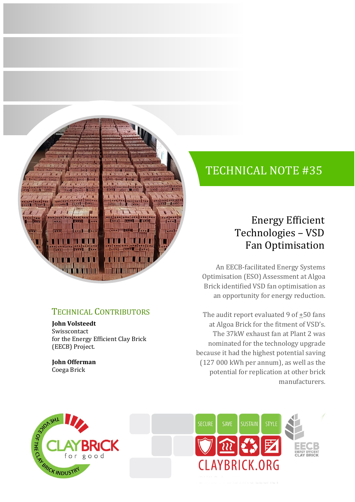

### TECHNICAL CONTRIBUTORS

**John Volsteedt** Swisscontact for the Energy Efficient Clay Brick (EECB) Project.

**John Offerman** Coega Brick

# TECHNICAL NOTE #35

### Energy Efficient Technologies – VSD Fan Optimisation

An EECB-facilitated Energy Systems Optimisation (ESO) Assessment at Algoa Brick identified VSD fan optimisation as an opportunity for energy reduction.

The audit report evaluated 9 of  $\pm 50$  fans at Algoa Brick for the fitment of VSD's. The 37kW exhaust fan at Plant 2 was nominated for the technology upgrade because it had the highest potential saving (127 000 kWh per annum), as well as the potential for replication at other brick manufacturers.



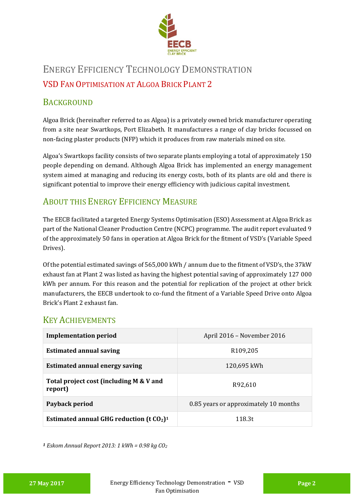

## ENERGY EFFICIENCY TECHNOLOGY DEMONSTRATION VSD FAN OPTIMISATION AT ALGOA BRICK PLANT 2

#### **BACKGROUND**

Algoa Brick (hereinafter referred to as Algoa) is a privately owned brick manufacturer operating from a site near Swartkops, Port Elizabeth. It manufactures a range of clay bricks focussed on non-facing plaster products (NFP) which it produces from raw materials mined on site.

Algoa's Swartkops facility consists of two separate plants employing a total of approximately 150 people depending on demand. Although Algoa Brick has implemented an energy management system aimed at managing and reducing its energy costs, both of its plants are old and there is significant potential to improve their energy efficiency with judicious capital investment.

#### ABOUT THIS ENERGY EFFICIENCY MEASURE

The EECB facilitated a targeted Energy Systems Optimisation (ESO) Assessment at Algoa Brick as part of the National Cleaner Production Centre (NCPC) programme. The audit report evaluated 9 of the approximately 50 fans in operation at Algoa Brick for the fitment of VSD's (Variable Speed Drives).

Of the potential estimated savings of 565,000 kWh / annum due to the fitment of VSD's, the 37kW exhaust fan at Plant 2 was listed as having the highest potential saving of approximately 127 000 kWh per annum. For this reason and the potential for replication of the project at other brick manufacturers, the EECB undertook to co-fund the fitment of a Variable Speed Drive onto Algoa Brick's Plant 2 exhaust fan.

#### KEY ACHIEVEMENTS

| <b>Implementation period</b>                           | April 2016 - November 2016            |
|--------------------------------------------------------|---------------------------------------|
| <b>Estimated annual saving</b>                         | R <sub>109</sub> ,205                 |
| <b>Estimated annual energy saving</b>                  | 120,695 kWh                           |
| Total project cost (including M & V and<br>report)     | R92,610                               |
| Payback period                                         | 0.85 years or approximately 10 months |
| Estimated annual GHG reduction (t $CO2$ ) <sup>1</sup> | 118.3t                                |

*<sup>1</sup> Eskom Annual Report 2013: 1 kWh = 0.98 kg CO<sup>2</sup>*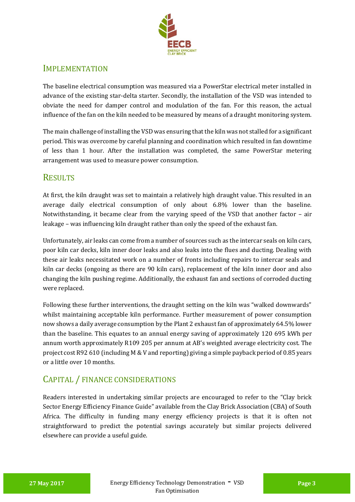

#### **IMPLEMENTATION**

The baseline electrical consumption was measured via a PowerStar electrical meter installed in advance of the existing star-delta starter. Secondly, the installation of the VSD was intended to obviate the need for damper control and modulation of the fan. For this reason, the actual influence of the fan on the kiln needed to be measured by means of a draught monitoring system.

The main challenge of installing the VSD was ensuring that the kiln was not stalled for a significant period. This was overcome by careful planning and coordination which resulted in fan downtime of less than 1 hour. After the installation was completed, the same PowerStar metering arrangement was used to measure power consumption.

#### **RESULTS**

At first, the kiln draught was set to maintain a relatively high draught value. This resulted in an average daily electrical consumption of only about 6.8% lower than the baseline. Notwithstanding, it became clear from the varying speed of the VSD that another factor – air leakage – was influencing kiln draught rather than only the speed of the exhaust fan.

Unfortunately, air leaks can come from a number of sources such as the intercar seals on kiln cars, poor kiln car decks, kiln inner door leaks and also leaks into the flues and ducting. Dealing with these air leaks necessitated work on a number of fronts including repairs to intercar seals and kiln car decks (ongoing as there are 90 kiln cars), replacement of the kiln inner door and also changing the kiln pushing regime. Additionally, the exhaust fan and sections of corroded ducting were replaced.

Following these further interventions, the draught setting on the kiln was "walked downwards" whilst maintaining acceptable kiln performance. Further measurement of power consumption now shows a daily average consumption by the Plant 2 exhaust fan of approximately 64.5% lower than the baseline. This equates to an annual energy saving of approximately 120 695 kWh per annum worth approximately R109 205 per annum at AB's weighted average electricity cost. The project cost R92 610 (including M & V and reporting) giving a simple payback period of 0.85 years or a little over 10 months.

#### CAPITAL / FINANCE CONSIDERATIONS

Readers interested in undertaking similar projects are encouraged to refer to the "Clay brick Sector Energy Efficiency Finance Guide" available from the Clay Brick Association (CBA) of South Africa. The difficulty in funding many energy efficiency projects is that it is often not straightforward to predict the potential savings accurately but similar projects delivered elsewhere can provide a useful guide.